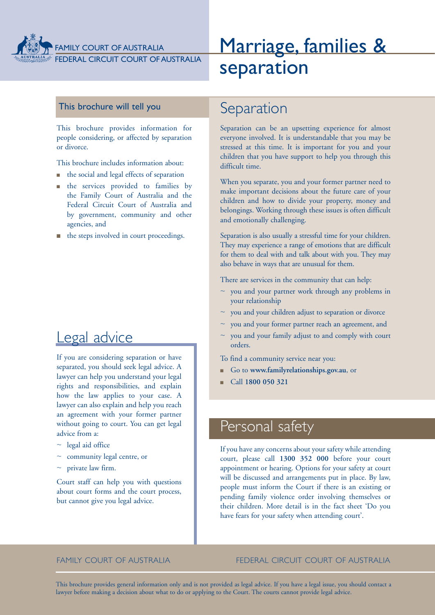

FEDERAL CIRCUIT COURT OF AUSTRALIA

# Marriage, families & separation

### This brochure will tell you

This brochure provides information for people considering, or affected by separation or divorce.

This brochure includes information about:

- $\blacksquare$  the social and legal effects of separation
- <sup>n</sup> the services provided to families by the Family Court of Australia and the Federal Circuit Court of Australia and by government, community and other agencies, and
- n the steps involved in court proceedings.

## Legal advice

If you are considering separation or have separated, you should seek legal advice. A lawyer can help you understand your legal rights and responsibilities, and explain how the law applies to your case. A lawyer can also explain and help you reach an agreement with your former partner without going to court. You can get legal advice from a:

- $\sim$  legal aid office
- $\sim$  community legal centre, or
- $\sim$  private law firm.

Court staff can help you with questions about court forms and the court process, but cannot give you legal advice.

## Separation

Separation can be an upsetting experience for almost everyone involved. It is understandable that you may be stressed at this time. It is important for you and your children that you have support to help you through this difficult time.

When you separate, you and your former partner need to make important decisions about the future care of your children and how to divide your property, money and belongings. Working through these issues is often difficult and emotionally challenging.

Separation is also usually a stressful time for your children. They may experience a range of emotions that are difficult for them to deal with and talk about with you. They may also behave in ways that are unusual for them.

There are services in the community that can help:

- $\sim$  you and your partner work through any problems in your relationship
- $\sim$  you and your children adjust to separation or divorce
- you and your former partner reach an agreement, and
- you and your family adjust to and comply with court orders.

To find a community service near you:

- <sup>n</sup> Go to **www.familyrelationships.gov.au**, or
- <sup>n</sup> Call **1800 050 321**

## Personal safety

If you have any concerns about your safety while attending court, please call **1300 352 000** before your court appointment or hearing. Options for your safety at court will be discussed and arrangements put in place. By law, people must inform the Court if there is an existing or pending family violence order involving themselves or their children. More detail is in the fact sheet 'Do you have fears for your safety when attending court'.

### FAMILY COURT OF AUSTRALIA FEDERAL CIRCUIT COURT OF AUSTRALIA

This brochure provides general information only and is not provided as legal advice. If you have a legal issue, you should contact a lawyer before making a decision about what to do or applying to the Court. The courts cannot provide legal advice.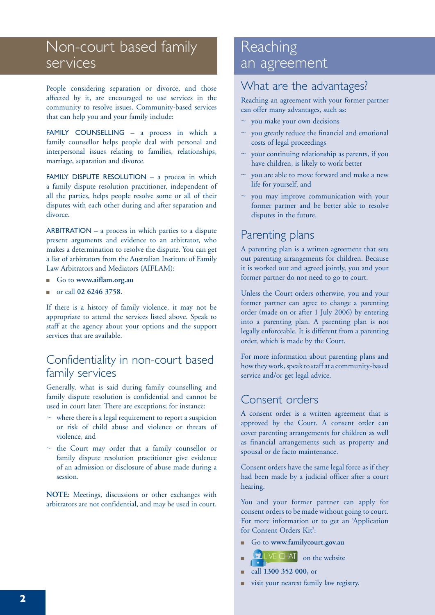## Non-court based family services

People considering separation or divorce, and those affected by it, are encouraged to use services in the community to resolve issues. Community-based services that can help you and your family include:

FAMILY COUNSELLING - a process in which a family counsellor helps people deal with personal and interpersonal issues relating to families, relationships, marriage, separation and divorce.

FAMILY DISPUTE RESOLUTION - a process in which a family dispute resolution practitioner, independent of all the parties, helps people resolve some or all of their disputes with each other during and after separation and divorce.

ARBITRATION – a process in which parties to a dispute present arguments and evidence to an arbitrator, who makes a determination to resolve the dispute. You can get a list of arbitrators from the Australian Institute of Family Law Arbitrators and Mediators (AIFLAM):

- <sup>n</sup> Go to **www.aiflam.org.au**
- <sup>n</sup> or call **02 6246 3758**.

If there is a history of family violence, it may not be appropriate to attend the services listed above. Speak to staff at the agency about your options and the support services that are available.

### Confidentiality in non-court based family services

Generally, what is said during family counselling and family dispute resolution is confidential and cannot be used in court later. There are exceptions; for instance:

- $\sim$  where there is a legal requirement to report a suspicion or risk of child abuse and violence or threats of violence, and
- $\sim$  the Court may order that a family counsellor or family dispute resolution practitioner give evidence of an admission or disclosure of abuse made during a session.

**NOTE**: Meetings, discussions or other exchanges with arbitrators are not confidential, and may be used in court.

## **Reaching** an agreement

## What are the advantages?

Reaching an agreement with your former partner can offer many advantages, such as:

- $\sim$  you make your own decisions
- you greatly reduce the financial and emotional costs of legal proceedings
- your continuing relationship as parents, if you have children, is likely to work better
- $\sim$  you are able to move forward and make a new life for yourself, and
- you may improve communication with your former partner and be better able to resolve disputes in the future.

## Parenting plans

A parenting plan is a written agreement that sets out parenting arrangements for children. Because it is worked out and agreed jointly, you and your former partner do not need to go to court.

Unless the Court orders otherwise, you and your former partner can agree to change a parenting order (made on or after 1 July 2006) by entering into a parenting plan. A parenting plan is not legally enforceable. It is different from a parenting order, which is made by the Court.

For more information about parenting plans and how they work, speak to staff at a community-based service and/or get legal advice.

## Consent orders

A consent order is a written agreement that is approved by the Court. A consent order can cover parenting arrangements for children as well as financial arrangements such as property and spousal or de facto maintenance.

Consent orders have the same legal force as if they had been made by a judicial officer after a court hearing.

You and your former partner can apply for consent orders to be made without going to court. For more information or to get an 'Application for Consent Orders Kit':

- <sup>n</sup> Go to **www.familycourt.gov.au**
- $N_{\text{LWE CHAT}}$  on the website
- <sup>n</sup> call **1300 352 000,** or
- visit your nearest family law registry.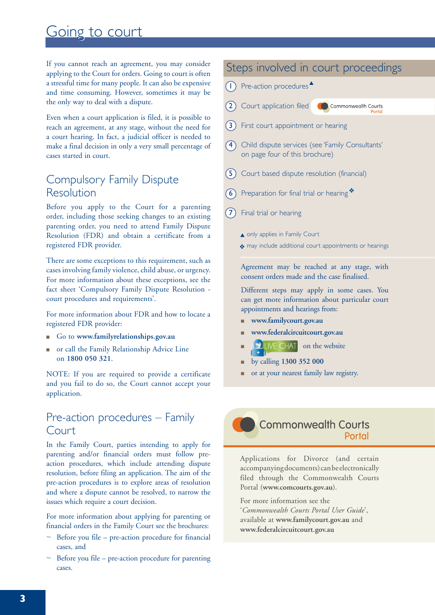## Going to court

If you cannot reach an agreement, you may consider applying to the Court for orders. Going to court is often a stressful time for many people. It can also be expensive and time consuming. However, sometimes it may be the only way to deal with a dispute.

Even when a court application is filed, it is possible to reach an agreement, at any stage, without the need for a court hearing. In fact, a judicial officer is needed to make a final decision in only a very small percentage of cases started in court.

## Compulsory Family Dispute Resolution

Before you apply to the Court for a parenting order, including those seeking changes to an existing parenting order, you need to attend Family Dispute Resolution (FDR) and obtain a certificate from a registered FDR provider.

There are some exceptions to this requirement, such as cases involving family violence, child abuse, or urgency. For more information about these exceptions, see the fact sheet 'Compulsory Family Dispute Resolution court procedures and requirements'.

For more information about FDR and how to locate a registered FDR provider:

- <sup>n</sup> Go to **www.familyrelationships.gov.au**
- n or call the Family Relationship Advice Line on **1800 050 321**.

NOTE: If you are required to provide a certificate and you fail to do so, the Court cannot accept your application.

### Pre-action procedures – Family Court

In the Family Court, parties intending to apply for parenting and/or financial orders must follow preaction procedures, which include attending dispute resolution, before filing an application. The aim of the pre-action procedures is to explore areas of resolution and where a dispute cannot be resolved, to narrow the issues which require a court decision.

For more information about applying for parenting or financial orders in the Family Court see the brochures:

- $\sim$  Before you file pre-action procedure for financial cases, and
- Before you file pre-action procedure for parenting cases.

## Steps involved in court proceedings

- $\bigcap$  Pre-action procedures
- 2 Court application filed Commonwealth Courts
- (3) First court appointment or hearing
- 4 Child dispute services (see 'Family Consultants' on page four of this brochure)
- **(5)** Court based dispute resolution (financial)
- 6 Preparation for final trial or hearing
- 7) Final trial or hearing
	- only applies in Family Court
	- \* may include additional court appointments or hearings

Agreement may be reached at any stage, with consent orders made and the case finalised.

Different steps may apply in some cases. You can get more information about particular court appointments and hearings from:

- <sup>n</sup> **www.familycourt.gov.au**
- <sup>n</sup> **www.federalcircuitcourt.gov.au**
- **DE** LIVE CHAT on the website
- <sup>n</sup> by calling **1300 352 000**
- n or at your nearest family law registry.



Applications for Divorce (and certain accompanying documents) can be electronically filed through the Commonwealth Courts Portal (**www.comcourts.gov.au**).

For more information see the '*Commonwealth Courts Portal User Guide*', available at **www.familycourt.gov.au** and **www.federalcircuitcourt.gov.au**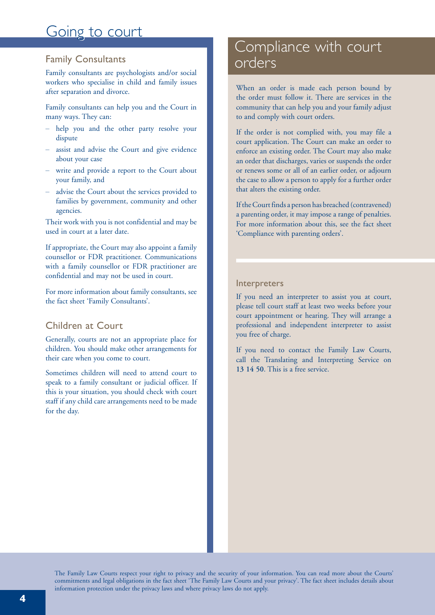## Going to court

### Family Consultants

Family consultants are psychologists and/or social workers who specialise in child and family issues after separation and divorce.

Family consultants can help you and the Court in many ways. They can:

- help you and the other party resolve your dispute
- assist and advise the Court and give evidence about your case
- write and provide a report to the Court about your family, and
- advise the Court about the services provided to families by government, community and other agencies.

Their work with you is not confidential and may be used in court at a later date.

If appropriate, the Court may also appoint a family counsellor or FDR practitioner. Communications with a family counsellor or FDR practitioner are confidential and may not be used in court.

For more information about family consultants, see the fact sheet 'Family Consultants'.

### Children at Court

Generally, courts are not an appropriate place for children. You should make other arrangements for their care when you come to court.

Sometimes children will need to attend court to speak to a family consultant or judicial officer. If this is your situation, you should check with court staff if any child care arrangements need to be made for the day.

## Compliance with court orders

When an order is made each person bound by the order must follow it. There are services in the community that can help you and your family adjust to and comply with court orders.

If the order is not complied with, you may file a court application. The Court can make an order to enforce an existing order. The Court may also make an order that discharges, varies or suspends the order or renews some or all of an earlier order, or adjourn the case to allow a person to apply for a further order that alters the existing order.

If the Court finds a person has breached (contravened) a parenting order, it may impose a range of penalties. For more information about this, see the fact sheet 'Compliance with parenting orders'.

### Interpreters

If you need an interpreter to assist you at court, please tell court staff at least two weeks before your court appointment or hearing. They will arrange a professional and independent interpreter to assist you free of charge.

If you need to contact the Family Law Courts, call the Translating and Interpreting Service on **13 14 50**. This is a free service.

The Family Law Courts respect your right to privacy and the security of your information. You can read more about the Courts' commitments and legal obligations in the fact sheet 'The Family Law Courts and your privacy'. The fact sheet includes details about information protection under the privacy laws and where privacy laws do not apply.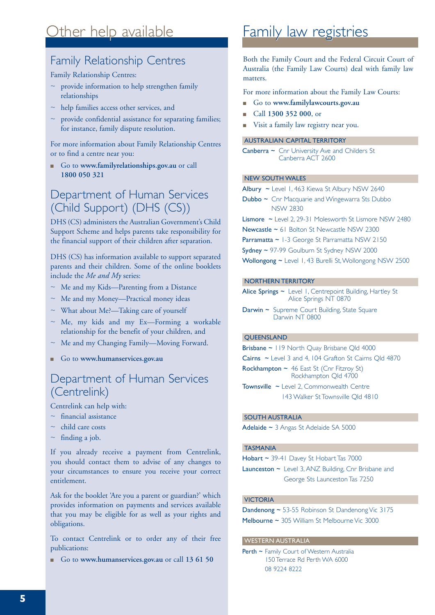## Other help available

### Family Relationship Centres

### Family Relationship Centres:

- $\sim$  provide information to help strengthen family relationships
- $\sim$  help families access other services, and
- $\sim$  provide confidential assistance for separating families; for instance, family dispute resolution.

For more information about Family Relationship Centres or to find a centre near you:

<sup>n</sup> Go to **www.familyrelationships.gov.au** or call **1800 050 321**

## Department of Human Services (Child Support) (DHS (CS))

DHS (CS) administers the Australian Government's Child Support Scheme and helps parents take responsibility for the financial support of their children after separation.

DHS (CS) has information available to support separated parents and their children. Some of the online booklets include the *Me and My* series:

- ~ Me and my Kids—Parenting from a Distance
- ~ Me and my Money—Practical money ideas
- $\sim$  What about Me?—Taking care of yourself
- $\sim$  Me, my kids and my Ex—Forming a workable relationship for the benefit of your children, and
- $\sim$  Me and my Changing Family—Moving Forward.
- <sup>n</sup> Go to **www.humanservices.gov.au**

### Department of Human Services (Centrelink)

Centrelink can help with:

- $\sim$  financial assistance
- ~ child care costs
- $\sim$  finding a job.

If you already receive a payment from Centrelink, you should contact them to advise of any changes to your circumstances to ensure you receive your correct entitlement.

Ask for the booklet 'Are you a parent or guardian?' which provides information on payments and services available that you may be eligible for as well as your rights and obligations.

To contact Centrelink or to order any of their free publications:

<sup>n</sup> Go to **www.humanservices.gov.au** or call **13 61 50** 

## Family law registries

Both the Family Court and the Federal Circuit Court of Australia (the Family Law Courts) deal with family law matters.

For more information about the Family Law Courts:

- <sup>n</sup> Go to **www.familylawcourts.gov.au**
- <sup>n</sup> Call **1300 352 000**, or
- Visit a family law registry near you.

### AUSTRALIAN CAPITAL TERRITORY

Canberra ~ Cnr University Ave and Childers St Canberra ACT 2600

#### NEW SOUTH WALES

Albury ~ Level 1, 463 Kiewa St Albury NSW 2640

Dubbo ~ Cnr Macquarie and Wingewarra Sts Dubbo NSW 2830

Lismore ~ Level 2, 29-31 Molesworth St Lismore NSW 2480

Newcastle ~ 61 Bolton St Newcastle NSW 2300

Parramatta ~ 1-3 George St Parramatta NSW 2150

Sydney ~ 97-99 Goulburn St Sydney NSW 2000

Wollongong ~ Level 1, 43 Burelli St, Wollongong NSW 2500

### NORTHERN TERRITORY

Alice Springs ~ Level 1, Centrepoint Building, Hartley St Alice Springs NT 0870

Darwin ~ Supreme Court Building, State Square Darwin NT 0800

### **OUEENSLAND**

Brisbane ~ 119 North Quay Brisbane Qld 4000

Cairns ~ Level 3 and 4, 104 Grafton St Cairns Qld 4870

Rockhampton ~ 46 East St (Cnr Fitzroy St) Rockhampton Qld 4700

Townsville ~ Level 2, Commonwealth Centre 143 Walker St Townsville Qld 4810

### SOUTH AUSTRALIA

Adelaide ~ 3 Angas St Adelaide SA 5000

### TASMANIA

Hobart ~ 39-41 Davey St Hobart Tas 7000

Launceston ~ Level 3, ANZ Building, Cnr Brisbane and George Sts Launceston Tas 7250

### VICTORIA

Dandenong ~ 53-55 Robinson St Dandenong Vic 3175 Melbourne ~ 305 William St Melbourne Vic 3000

#### WESTERN AUSTRALIA

Perth ~ Family Court of Western Australia 150 Terrace Rd Perth WA 6000 08 9224 8222